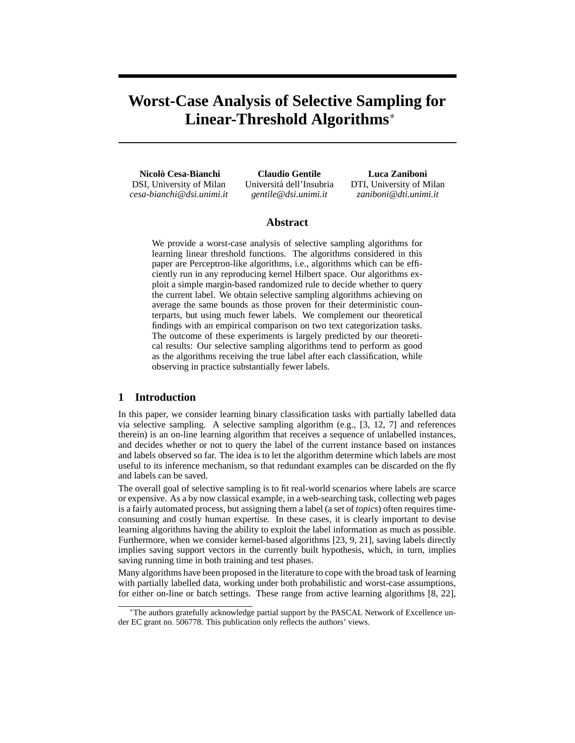# **Worst-Case Analysis of Selective Sampling for Linear-Threshold Algorithms**<sup>∗</sup>

**Nicolo Cesa-Bianchi `** DSI, University of Milan *cesa-bianchi@dsi.unimi.it*

**Claudio Gentile** Universita dell'Insubria ` *gentile@dsi.unimi.it*

**Luca Zaniboni** DTI, University of Milan *zaniboni@dti.unimi.it*

## **Abstract**

We provide a worst-case analysis of selective sampling algorithms for learning linear threshold functions. The algorithms considered in this paper are Perceptron-like algorithms, i.e., algorithms which can be efficiently run in any reproducing kernel Hilbert space. Our algorithms exploit a simple margin-based randomized rule to decide whether to query the current label. We obtain selective sampling algorithms achieving on average the same bounds as those proven for their deterministic counterparts, but using much fewer labels. We complement our theoretical findings with an empirical comparison on two text categorization tasks. The outcome of these experiments is largely predicted by our theoretical results: Our selective sampling algorithms tend to perform as good as the algorithms receiving the true label after each classification, while observing in practice substantially fewer labels.

## **1 Introduction**

In this paper, we consider learning binary classification tasks with partially labelled data via selective sampling. A selective sampling algorithm (e.g., [3, 12, 7] and references therein) is an on-line learning algorithm that receives a sequence of unlabelled instances, and decides whether or not to query the label of the current instance based on instances and labels observed so far. The idea is to let the algorithm determine which labels are most useful to its inference mechanism, so that redundant examples can be discarded on the fly and labels can be saved.

The overall goal of selective sampling is to fit real-world scenarios where labels are scarce or expensive. As a by now classical example, in a web-searching task, collecting web pages is a fairly automated process, but assigning them a label (a set of *topics*) often requires timeconsuming and costly human expertise. In these cases, it is clearly important to devise learning algorithms having the ability to exploit the label information as much as possible. Furthermore, when we consider kernel-based algorithms [23, 9, 21], saving labels directly implies saving support vectors in the currently built hypothesis, which, in turn, implies saving running time in both training and test phases.

Many algorithms have been proposed in the literature to cope with the broad task of learning with partially labelled data, working under both probabilistic and worst-case assumptions, for either on-line or batch settings. These range from active learning algorithms [8, 22],

<sup>∗</sup>The authors gratefully acknowledge partial support by the PASCAL Network of Excellence under EC grant no. 506778. This publication only reflects the authors' views.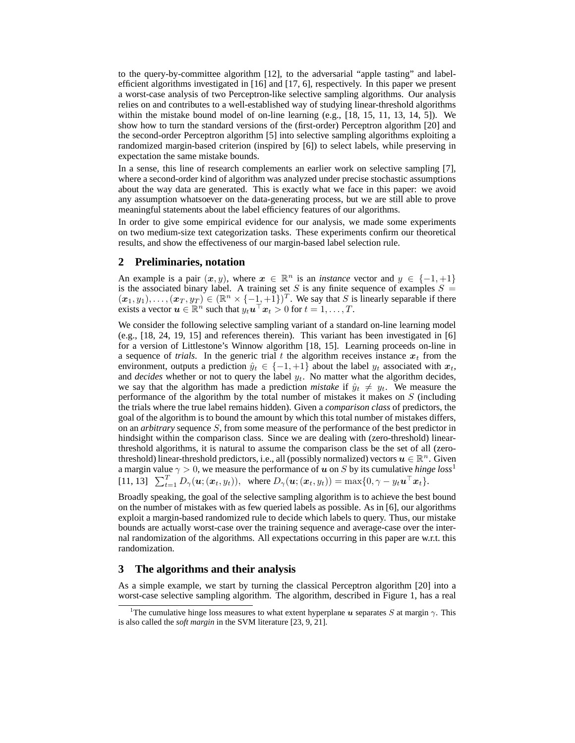to the query-by-committee algorithm [12], to the adversarial "apple tasting" and labelefficient algorithms investigated in [16] and [17, 6], respectively. In this paper we present a worst-case analysis of two Perceptron-like selective sampling algorithms. Our analysis relies on and contributes to a well-established way of studying linear-threshold algorithms within the mistake bound model of on-line learning (e.g., [18, 15, 11, 13, 14, 5]). We show how to turn the standard versions of the (first-order) Perceptron algorithm [20] and the second-order Perceptron algorithm [5] into selective sampling algorithms exploiting a randomized margin-based criterion (inspired by [6]) to select labels, while preserving in expectation the same mistake bounds.

In a sense, this line of research complements an earlier work on selective sampling [7], where a second-order kind of algorithm was analyzed under precise stochastic assumptions about the way data are generated. This is exactly what we face in this paper: we avoid any assumption whatsoever on the data-generating process, but we are still able to prove meaningful statements about the label efficiency features of our algorithms.

In order to give some empirical evidence for our analysis, we made some experiments on two medium-size text categorization tasks. These experiments confirm our theoretical results, and show the effectiveness of our margin-based label selection rule.

### **2 Preliminaries, notation**

An example is a pair  $(x, y)$ , where  $x \in \mathbb{R}^n$  is an *instance* vector and  $y \in \{-1, +1\}$ is the associated binary label. A training set S is any finite sequence of examples  $S =$  $(x_1, y_1), \ldots, (x_T, y_T) \in (\mathbb{R}^n \times \{-1, +1\})^T$ . We say that S is linearly separable if there exists a vector  $\mathbf{u} \in \mathbb{R}^n$  such that  $y_t \mathbf{u}^\top \mathbf{x}_t > 0$  for  $t = 1, \dots, T$ .

We consider the following selective sampling variant of a standard on-line learning model (e.g., [18, 24, 19, 15] and references therein). This variant has been investigated in [6] for a version of Littlestone's Winnow algorithm [18, 15]. Learning proceeds on-line in a sequence of *trials*. In the generic trial t the algorithm receives instance  $x_t$  from the environment, outputs a prediction  $\hat{y}_t \in \{-1, +1\}$  about the label  $y_t$  associated with  $x_t$ , and *decides* whether or not to query the label  $y_t$ . No matter what the algorithm decides, we say that the algorithm has made a prediction *mistake* if  $\hat{y}_t \neq y_t$ . We measure the performance of the algorithm by the total number of mistakes it makes on S (including the trials where the true label remains hidden). Given a *comparison class* of predictors, the goal of the algorithm is to bound the amount by which this total number of mistakes differs, on an *arbitrary* sequence S, from some measure of the performance of the best predictor in hindsight within the comparison class. Since we are dealing with (zero-threshold) linearthreshold algorithms, it is natural to assume the comparison class be the set of all (zerothreshold) linear-threshold predictors, i.e., all (possibly normalized) vectors  $u \in \mathbb{R}^n$ . Given a margin value  $\gamma > 0$ , we measure the performance of u on S by its cumulative *hinge loss*<sup>1</sup> [11, 13]  $\sum_{t=1}^{T} D_{\gamma}(\mathbf{u}; (\mathbf{x}_t, y_t)), \text{ where } D_{\gamma}(\mathbf{u}; (\mathbf{x}_t, y_t)) = \max\{0, \gamma - y_t \mathbf{u}^{\top} \mathbf{x}_t\}.$ 

Broadly speaking, the goal of the selective sampling algorithm is to achieve the best bound on the number of mistakes with as few queried labels as possible. As in [6], our algorithms exploit a margin-based randomized rule to decide which labels to query. Thus, our mistake bounds are actually worst-case over the training sequence and average-case over the internal randomization of the algorithms. All expectations occurring in this paper are w.r.t. this randomization.

#### **3 The algorithms and their analysis**

As a simple example, we start by turning the classical Perceptron algorithm [20] into a worst-case selective sampling algorithm. The algorithm, described in Figure 1, has a real

<sup>&</sup>lt;sup>1</sup>The cumulative hinge loss measures to what extent hyperplane u separates S at margin  $\gamma$ . This is also called the *soft margin* in the SVM literature [23, 9, 21].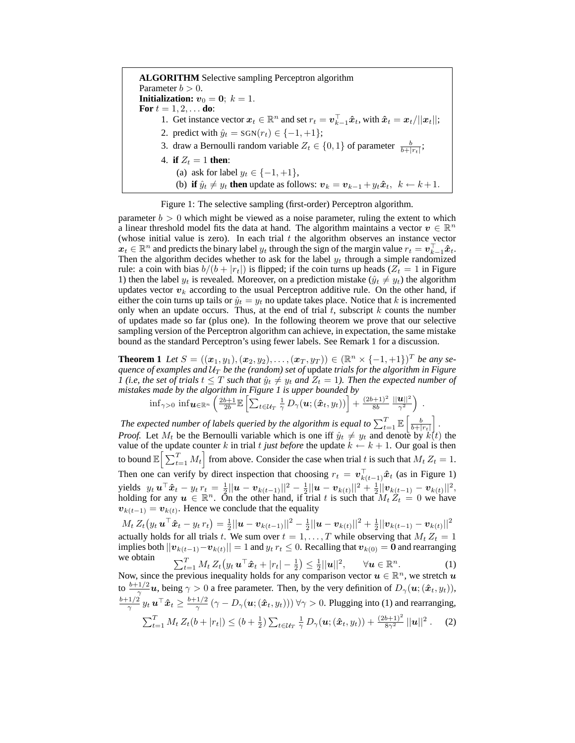**ALGORITHM** Selective sampling Perceptron algorithm Parameter  $b > 0$ . **Initialization:**  $v_0 = 0$ ;  $k = 1$ . **For**  $t = 1, 2, ...$  **do**: 1. Get instance vector  $x_t \in \mathbb{R}^n$  and set  $r_t = \mathbf{v}_{k-1}^{\top} \hat{x}_t$ , with  $\hat{x}_t = \mathbf{x}_t / ||\mathbf{x}_t||$ ; 2. predict with  $\hat{y}_t = \text{SGN}(r_t) \in \{-1, +1\};$ 3. draw a Bernoulli random variable  $Z_t \in \{0, 1\}$  of parameter  $\frac{b}{b+|r_t|}$ ; 4. **if**  $Z_t = 1$  **then:** (a) ask for label  $y_t \in \{-1, +1\}$ , (b) **if**  $\hat{y}_t \neq y_t$  then update as follows:  $v_k = v_{k-1} + y_t \hat{x}_t$ ,  $k \leftarrow k+1$ .

Figure 1: The selective sampling (first-order) Perceptron algorithm.

parameter  $b > 0$  which might be viewed as a noise parameter, ruling the extent to which a linear threshold model fits the data at hand. The algorithm maintains a vector  $v \in \mathbb{R}^n$ (whose initial value is zero). In each trial  $t$  the algorithm observes an instance vector  $x_t \in \mathbb{R}^n$  and predicts the binary label  $y_t$  through the sign of the margin value  $r_t = \mathbf{v}_{k-1}^{\top} \mathbf{\hat{x}}_t$ . Then the algorithm decides whether to ask for the label  $y_t$  through a simple randomized rule: a coin with bias  $b/(b + |r_t|)$  is flipped; if the coin turns up heads ( $Z_t = 1$  in Figure 1) then the label  $y_t$  is revealed. Moreover, on a prediction mistake  $(\hat{y}_t \neq y_t)$  the algorithm updates vector  $v_k$  according to the usual Perceptron additive rule. On the other hand, if either the coin turns up tails or  $\hat{y}_t = y_t$  no update takes place. Notice that k is incremented only when an update occurs. Thus, at the end of trial  $t$ , subscript  $k$  counts the number of updates made so far (plus one). In the following theorem we prove that our selective sampling version of the Perceptron algorithm can achieve, in expectation, the same mistake bound as the standard Perceptron's using fewer labels. See Remark 1 for a discussion.

**Theorem 1** *Let*  $S = ((x_1, y_1), (x_2, y_2), \ldots, (x_T, y_T)) \in (\mathbb{R}^n \times \{-1, +1\})^T$  *be any se-* $\emph{quence of examples and $\mathcal{U}_{T}$ be the (random) set of update trials for the algorithm in Figure~$ *1* (*i.e, the set of trials*  $t \leq T$  *such that*  $\hat{y}_t \neq y_t$  *and*  $Z_t = 1$ *). Then the expected number of mistakes made by the algorithm in Figure 1 is upper bounded by*

 $\inf_{\gamma>0}\inf\bm{u}\in\mathbb{R}^n}\left(\frac{2b+1}{2b}\mathbb{E}\left[\sum_{t\in\mathcal{U}_T}\frac{1}{\gamma}\,D_\gamma(\bm{u};(\bm{\hat{x}}_t,y_t))\right]+\frac{(2b+1)^2}{8b}\right]$ 8b  $||u||^2$  $\frac{\bm{u}||^2}{\gamma^2}\Big)$  .

The expected number of labels queried by the algorithm is equal to  $\sum_{t=1}^T \mathbb{E}\left[\frac{b}{b+|r_t|}\right]$  . *Proof.* Let  $M_t$  be the Bernoulli variable which is one iff  $\hat{y}_t \neq y_t$  and denote by  $k(t)$  the value of the update counter k in trial t *just before* the update  $k \leftarrow k + 1$ . Our goal is then to bound  $\mathbb{E}\Big[\sum_{t=1}^T M_t\Big]$  from above. Consider the case when trial t is such that  $M_t Z_t = 1$ . Then one can verify by direct inspection that choosing  $r_t = \mathbf{v}_{k(t-1)}^{\top} \hat{\boldsymbol{x}}_t$  (as in Figure 1) yields  $y_t \mathbf{u}^\top \hat{\mathbf{x}}_t - y_t \mathbf{r}_t = \frac{1}{2} ||\mathbf{u} - \mathbf{v}_{k(t-1)}||^2 - \frac{1}{2} ||\mathbf{u} - \mathbf{v}_{k(t)}||^2 + \frac{1}{2} ||\mathbf{v}_{k(t-1)} - \mathbf{v}_{k(t)}||^2,$ holding for any  $u \in \mathbb{R}^n$ . On the other hand, if trial t is such that  $M_t Z_t = 0$  we have  $v_{k(t-1)} = v_{k(t)}$ . Hence we conclude that the equality

 $M_t Z_t(y_t \boldsymbol{u}^\top \boldsymbol{\hat{x}}_t - y_t r_t) = \frac{1}{2} ||\boldsymbol{u} - \boldsymbol{v}_{k(t-1)}||^2 - \frac{1}{2} ||\boldsymbol{u} - \boldsymbol{v}_{k(t)}||^2 + \frac{1}{2} ||\boldsymbol{v}_{k(t-1)} - \boldsymbol{v}_{k(t)}||^2$ actually holds for all trials t. We sum over  $t = 1, ..., T$  while observing that  $M_t Z_t = 1$ implies both  $||\boldsymbol{v}_{k(t-1)} - \boldsymbol{v}_{k(t)}|| = 1$  and  $y_t r_t \leq 0$ . Recalling that  $\boldsymbol{v}_{k(0)} = \boldsymbol{0}$  and rearranging we obtain

 $T_{t=1}^{T} M_t Z_t (y_t \mathbf{u}^\top \hat{\mathbf{x}}_t + |r_t| - \frac{1}{2}) \leq \frac{1}{2} ||\mathbf{u}||^2, \quad \forall \mathbf{u} \in \mathbb{R}^n.$  (1) Now, since the previous inequality holds for any comparison vector  $u \in \mathbb{R}^n$ , we stretch u to  $\frac{b+1/2}{\gamma}u$ , being  $\gamma > 0$  a free parameter. Then, by the very definition of  $D_{\gamma}(u; (\hat{x}_t, y_t)),$ b+1/2  $\frac{1/2}{\gamma}\,y_t\,\boldsymbol{u}^\top\boldsymbol{\hat{x}}_t\geq\frac{b+1/2}{\gamma}$  $\frac{f_1/2}{\gamma}$   $(\gamma - D_{\gamma}(\boldsymbol{u};{(\hat{\boldsymbol{x}}_t,y_t)})) \forall \gamma > 0$ . Plugging into (1) and rearranging,  $\sum_{t=1}^{T} M_t Z_t(b+|r_t|) \leq (b+\frac{1}{2}) \sum_{t \in \mathcal{U}_T} \frac{1}{\gamma} D_{\gamma}(\boldsymbol{u};(\hat{\boldsymbol{x}}_t,y_t)) + \frac{(2b+1)^2}{8\gamma^2} ||\boldsymbol{u}||^2$  $(2)$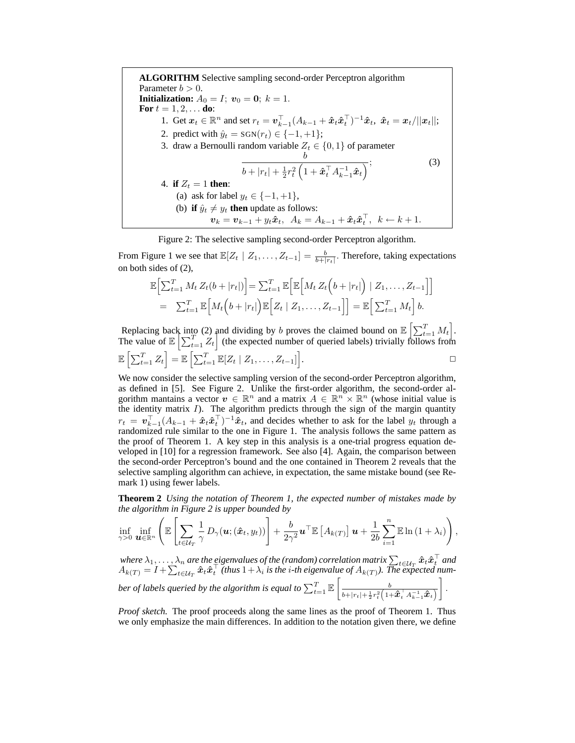**ALGORITHM** Selective sampling second-order Perceptron algorithm Parameter  $b > 0$ . **Initialization:**  $A_0 = I$ ;  $v_0 = 0$ ;  $k = 1$ . **For**  $t = 1, 2, ...$  **do**: 1. Get  $x_t \in \mathbb{R}^n$  and set  $r_t = \mathbf{v}_{k-1}^\top (A_{k-1} + \hat{x}_t \hat{x}_t^\top)^{-1} \hat{x}_t$ ,  $\hat{x}_t = \mathbf{x}_t / ||\mathbf{x}_t||$ ; 2. predict with  $\hat{y}_t = \text{SGN}(r_t) \in \{-1, +1\};$ 3. draw a Bernoulli random variable  $Z_t \in \{0, 1\}$  of parameter b  $b + |r_t| + \frac{1}{2}r_t^2\left(1 + \hat{\boldsymbol{x}}_t^{\top} A_{k-1}^{-1} \hat{\boldsymbol{x}}_t\right)^{\mathbf{\dot{y}}}$ (3) 4. **if**  $Z_t = 1$  **then:** (a) ask for label  $y_t \in \{-1, +1\}$ , (b) **if**  $\hat{y}_t \neq y_t$  **then** update as follows:  $v_k = v_{k-1} + y_t \hat{x}_t$ ,  $A_k = A_{k-1} + \hat{x}_t \hat{x}_t^{\top}$ ,  $k \leftarrow k+1$ .

Figure 2: The selective sampling second-order Perceptron algorithm.

From Figure 1 we see that  $\mathbb{E}[Z_t | Z_1, \dots, Z_{t-1}] = \frac{b}{b+|r_t|}$ . Therefore, taking expectations on both sides of (2),

$$
\mathbb{E}\Big[\sum_{t=1}^T M_t Z_t(b+|r_t|)\Big] = \sum_{t=1}^T \mathbb{E}\Big[\mathbb{E}\Big[M_t Z_t\Big(b+|r_t|\Big) | Z_1,\ldots,Z_{t-1}\Big]\Big]
$$
  
=  $\sum_{t=1}^T \mathbb{E}\Big[M_t\Big(b+|r_t|\Big)\mathbb{E}\Big[Z_t | Z_1,\ldots,Z_{t-1}\Big]\Big] = \mathbb{E}\Big[\sum_{t=1}^T M_t\Big] b.$ 

Replacing back into (2) and dividing by b proves the claimed bound on  $\mathbb{E}\left[\sum_{t=1}^T M_t\right]$ . The value of  $\mathbb{E}\left[\sum_{t=1}^T Z_t\right]$  (the expected number of queried labels) trivially follows from  $\mathbb{E}\left[\sum_{t=1}^T Z_t\right] = \mathbb{E}\left[\sum_{t=1}^T \mathbb{E}[Z_t \mid Z_1,\ldots,Z_{t-1}]\right]$ .  $\Box$ 

We now consider the selective sampling version of the second-order Perceptron algorithm, as defined in [5]. See Figure 2. Unlike the first-order algorithm, the second-order algorithm mantains a vector  $v \in \mathbb{R}^n$  and a matrix  $A \in \mathbb{R}^n \times \mathbb{R}^n$  (whose initial value is the identity matrix  $I$ ). The algorithm predicts through the sign of the margin quantity  $r_t = \bm{v}_{k-1}^{\top} (A_{k-1} + \hat{\bm{x}}_t \hat{\bm{x}}_t^{\top})^{-1} \hat{\bm{x}}_t$ , and decides whether to ask for the label  $y_t$  through a randomized rule similar to the one in Figure 1. The analysis follows the same pattern as the proof of Theorem 1. A key step in this analysis is a one-trial progress equation developed in [10] for a regression framework. See also [4]. Again, the comparison between the second-order Perceptron's bound and the one contained in Theorem 2 reveals that the selective sampling algorithm can achieve, in expectation, the same mistake bound (see Remark 1) using fewer labels.

**Theorem 2** *Using the notation of Theorem 1, the expected number of mistakes made by the algorithm in Figure 2 is upper bounded by*

$$
\inf_{\gamma>0}\,\inf_{\boldsymbol{u}\in\mathbb{R}^n}\left(\mathbb{E}\left[\sum_{t\in\mathcal{U}_T}\frac{1}{\gamma}\,D_{\gamma}(\boldsymbol{u};(\hat{\boldsymbol{x}}_t,y_t))\right]+\frac{b}{2\gamma^2}\boldsymbol{u}^{\top}\mathbb{E}\left[A_{k(T)}\right]\boldsymbol{u}+\frac{1}{2b}\sum_{i=1}^n\mathbb{E}\ln\left(1+\lambda_i\right)\right),
$$

where  $\lambda_1,\dots,\lambda_n$  are the eigenvalues of the (random) correlation matrix  $\sum_{t\in\mathcal{U}_T}\hat{x}_t\hat{x}_t^\top$  and  $A_{k(T)} = I + \sum_{t \in \mathcal{U}_T} \hat{x}_t \hat{x}_t^\top$  (thus  $1 + \lambda_i$  is the *i*-th eigenvalue of  $A_{k(T)}$ ). The expected number of labels queried by the algorithm is equal to  $\sum_{t=1}^{T} \mathbb{E}\left[\frac{b}{b + |r_1| + \frac{1}{2}r^2(1-p_1)}\right]$  $\frac{1}{b+|r_t|+\frac{1}{2}r_t^2\left(1+\bm{\hat{x}}_t^{\top} A_{k-1}^{-1}\bm{\hat{x}}_t\right)}$ .

*Proof sketch.* The proof proceeds along the same lines as the proof of Theorem 1. Thus we only emphasize the main differences. In addition to the notation given there, we define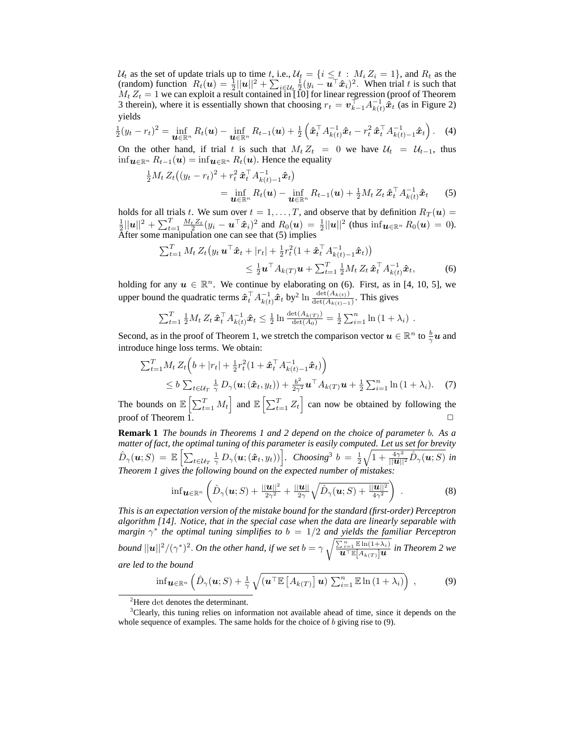$\mathcal{U}_t$  as the set of update trials up to time t, i.e.,  $\mathcal{U}_t = \{i \leq t : M_i Z_i = 1\}$ , and  $R_t$  as the (random) function  $R_t(\boldsymbol{u}) = \frac{1}{2} ||\boldsymbol{u}||^2 + \sum_{i \in \mathcal{U}_t} \frac{1}{2} (y_i - \boldsymbol{u}^\top \hat{\boldsymbol{x}}_i)^2$ . When trial t is such that  $M_t Z_t = 1$  we can exploit a result contained in [10] for linear regression (proof of Theorem 3 therein), where it is essentially shown that choosing  $r_t = \vec{v}_{k-1} \vec{A}_{k(t)}^{-1} \hat{\vec{x}}_t$  (as in Figure 2) yields

$$
\frac{1}{2}(y_t - r_t)^2 = \inf_{\mathbf{u} \in \mathbb{R}^n} R_t(\mathbf{u}) - \inf_{\mathbf{u} \in \mathbb{R}^n} R_{t-1}(\mathbf{u}) + \frac{1}{2} \left( \hat{\mathbf{x}}_t^{\top} A_{k(t)}^{-1} \hat{\mathbf{x}}_t - r_t^2 \hat{\mathbf{x}}_t^{\top} A_{k(t)-1}^{-1} \hat{\mathbf{x}}_t \right). \tag{4}
$$

On the other hand, if trial t is such that  $M_t Z_t = 0$  we have  $U_t = U_{t-1}$ , thus inf $u \in \mathbb{R}^n$   $R_{t-1}(u) = \inf u \in \mathbb{R}^n$   $R_t(u)$ . Hence the equality

$$
\frac{1}{2}M_t Z_t ((y_t - r_t)^2 + r_t^2 \hat{\boldsymbol{x}}_t^{\top} A_{k(t)-1}^{-1} \hat{\boldsymbol{x}}_t)
$$
\n
$$
= \inf_{\boldsymbol{u} \in \mathbb{R}^n} R_t (\boldsymbol{u}) - \inf_{\boldsymbol{u} \in \mathbb{R}^n} R_{t-1} (\boldsymbol{u}) + \frac{1}{2} M_t Z_t \hat{\boldsymbol{x}}_t^{\top} A_{k(t)}^{-1} \hat{\boldsymbol{x}}_t \tag{5}
$$

holds for all trials t. We sum over  $t = 1, ..., T$ , and observe that by definition  $R_T(\boldsymbol{u}) = \frac{1}{2} ||\boldsymbol{u}||^2 + \sum_{t=1}^T \frac{M_t Z_t}{2} (y_i - \boldsymbol{u}^\top \hat{\boldsymbol{x}}_i)^2$  and  $R_0(\boldsymbol{u}) = \frac{1}{2} ||\boldsymbol{u}||^2$  (thus  $\inf_{\boldsymbol{u} \in \mathbb{R}^n} R_0(\boldsymbol{u}) =$ After some manipulation one can see that (5) implies

$$
\sum_{t=1}^{T} M_t Z_t (y_t \mathbf{u}^\top \hat{\mathbf{x}}_t + |r_t| + \frac{1}{2} r_t^2 (1 + \hat{\mathbf{x}}_t^\top A_{k(t)-1}^{-1} \hat{\mathbf{x}}_t))
$$
\n
$$
\leq \frac{1}{2} \mathbf{u}^\top A_{k(T)} \mathbf{u} + \sum_{t=1}^{T} \frac{1}{2} M_t Z_t \hat{\mathbf{x}}_t^\top A_{k(t)}^{-1} \hat{\mathbf{x}}_t, \tag{6}
$$

holding for any  $u \in \mathbb{R}^n$ . We continue by elaborating on (6). First, as in [4, 10, 5], we upper bound the quadratic terms  $\hat{x}_t^{\top} A_{k(t)}^{-1} \hat{x}_t$  by<sup>2</sup> ln  $\frac{\det(A_{k(t)})}{\det(A_{k(t)-1})}$ . This gives

$$
\sum_{t=1}^T \frac{1}{2} M_t Z_t \, \hat{\boldsymbol{x}}_t^\top A_{k(t)}^{-1} \hat{\boldsymbol{x}}_t \leq \frac{1}{2} \ln \frac{\det(A_{k(T)})}{\det(A_0)} = \frac{1}{2} \sum_{i=1}^n \ln (1 + \lambda_i) \; .
$$

Second, as in the proof of Theorem 1, we stretch the comparison vector  $u \in \mathbb{R}^n$  to  $\frac{b}{\gamma}u$  and introduce hinge loss terms. We obtain:

$$
\sum_{t=1}^{T} M_t Z_t \left( b + |r_t| + \frac{1}{2} r_t^2 (1 + \hat{\boldsymbol{x}}_t^\top A_{k(t)-1}^{-1} \hat{\boldsymbol{x}}_t) \right) \leq b \sum_{t \in \mathcal{U}_T} \frac{1}{\gamma} D_\gamma (\boldsymbol{u}; (\hat{\boldsymbol{x}}_t, y_t)) + \frac{b^2}{2\gamma^2} \boldsymbol{u}^\top A_{k(T)} \boldsymbol{u} + \frac{1}{2} \sum_{i=1}^n \ln (1 + \lambda_i).
$$
 (7)

The bounds on  $\mathbb{E}\left[\sum_{t=1}^T M_t\right]$  and  $\mathbb{E}\left[\sum_{t=1}^T Z_t\right]$  can now be obtained by following the proof of Theorem 1.  $\Box$ 

**Remark 1** *The bounds in Theorems 1 and 2 depend on the choice of parameter* b*. As a matter of fact, the optimal tuning of this parameter is easily computed. Let us set for brevity*  $\hat{D}_{\gamma}(\boldsymbol{u};S) = \mathbb{E}\left[\sum_{t \in \mathcal{U}_T} \frac{1}{\gamma} D_{\gamma}(\boldsymbol{u};(\hat{\boldsymbol{x}}_t,y_t))\right]$ . Choosing<sup>3</sup>  $b = \frac{1}{2}\sqrt{1 + \frac{4\gamma^2}{||\boldsymbol{u}||^2}} \hat{D}_{\gamma}(\boldsymbol{u};S)$  in *Theorem 1 gives the following bound on the expected number of mistakes:*

$$
\inf \mathbf{u} \in \mathbb{R}^n \left( \hat{D}_{\gamma}(\mathbf{u}; S) + \frac{\|\mathbf{u}\|^2}{2\gamma^2} + \frac{\|\mathbf{u}\|}{2\gamma} \sqrt{\hat{D}_{\gamma}(\mathbf{u}; S) + \frac{\|\mathbf{u}\|^2}{4\gamma^2}} \right) . \tag{8}
$$

*This is an expectation version of the mistake bound for the standard (first-order) Perceptron algorithm [14]. Notice, that in the special case when the data are linearly separable with margin*  $\gamma^*$  the optimal tuning simplifies to  $b = 1/2$  and yields the familiar Perceptron *bound*  $||u||^2/(\gamma^*)^2$ . *On the other hand, if we set*  $b = \gamma \sqrt{\frac{\sum_{i=1}^n \mathbb{E} \ln(1+\lambda_i)}{u^{\top} \mathbb{E}[A_{k(T)}]u}}$  in Theorem 2 we *are led to the bound*

$$
\inf \mathbf{u}_{\in \mathbb{R}^n} \left( \hat{D}_{\gamma}(\mathbf{u}; S) + \frac{1}{\gamma} \sqrt{(\mathbf{u}^{\top} \mathbb{E} \left[ A_{k(T)} \right] \mathbf{u}) \sum_{i=1}^n \mathbb{E} \ln \left( 1 + \lambda_i \right)} \right) , \tag{9}
$$

 ${}^{2}$ Here det denotes the determinant.

<sup>&</sup>lt;sup>3</sup>Clearly, this tuning relies on information not available ahead of time, since it depends on the whole sequence of examples. The same holds for the choice of  $b$  giving rise to  $(9)$ .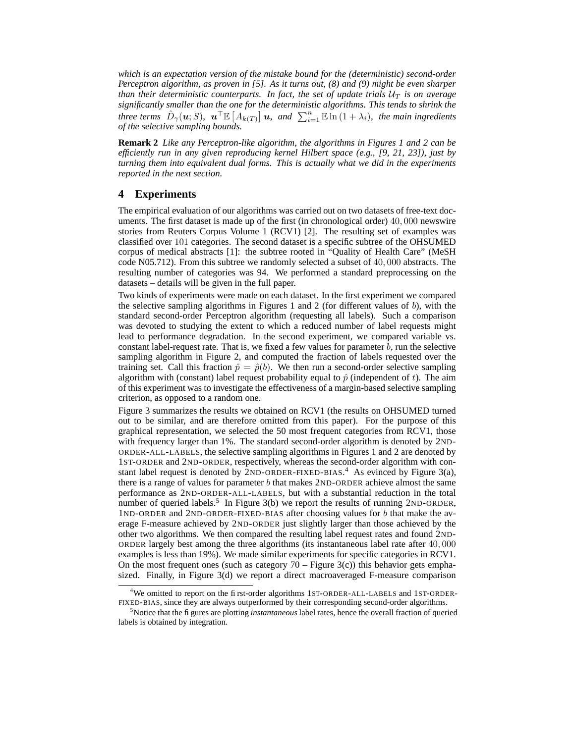*which is an expectation version of the mistake bound for the (deterministic) second-order Perceptron algorithm, as proven in [5]. As it turns out, (8) and (9) might be even sharper than their deterministic counterparts. In fact, the set of update trials*  $U_T$  *is on average significantly smaller than the one for the deterministic algorithms. This tends to shrink the three terms*  $\hat{D}_{\gamma}(\boldsymbol{u};S)$ ,  $\boldsymbol{u}^{\top} \mathbb{E}\left[A_{k(T)}\right] \boldsymbol{u}$ , and  $\sum_{i=1}^{n} \mathbb{E}\ln(1+\lambda_{i})$ , the main ingredients *of the selective sampling bounds.*

**Remark 2** *Like any Perceptron-like algorithm, the algorithms in Figures 1 and 2 can be efficiently run in any given reproducing kernel Hilbert space (e.g., [9, 21, 23]), just by turning them into equivalent dual forms. This is actually what we did in the experiments reported in the next section.*

## **4 Experiments**

The empirical evaluation of our algorithms was carried out on two datasets of free-text documents. The first dataset is made up of the first (in chronological order) 40, 000 newswire stories from Reuters Corpus Volume 1 (RCV1) [2]. The resulting set of examples was classified over 101 categories. The second dataset is a specific subtree of the OHSUMED corpus of medical abstracts [1]: the subtree rooted in "Quality of Health Care" (MeSH code N05.712). From this subtree we randomly selected a subset of 40, 000 abstracts. The resulting number of categories was 94. We performed a standard preprocessing on the datasets – details will be given in the full paper.

Two kinds of experiments were made on each dataset. In the first experiment we compared the selective sampling algorithms in Figures 1 and 2 (for different values of b), with the standard second-order Perceptron algorithm (requesting all labels). Such a comparison was devoted to studying the extent to which a reduced number of label requests might lead to performance degradation. In the second experiment, we compared variable vs. constant label-request rate. That is, we fixed a few values for parameter  $b$ , run the selective sampling algorithm in Figure 2, and computed the fraction of labels requested over the training set. Call this fraction  $\hat{p} = \hat{p}(b)$ . We then run a second-order selective sampling algorithm with (constant) label request probability equal to  $\hat{p}$  (independent of t). The aim of this experiment was to investigate the effectiveness of a margin-based selective sampling criterion, as opposed to a random one.

Figure 3 summarizes the results we obtained on RCV1 (the results on OHSUMED turned out to be similar, and are therefore omitted from this paper). For the purpose of this graphical representation, we selected the 50 most frequent categories from RCV1, those with frequency larger than 1%. The standard second-order algorithm is denoted by 2ND-ORDER-ALL-LABELS, the selective sampling algorithms in Figures 1 and 2 are denoted by 1ST-ORDER and 2ND-ORDER, respectively, whereas the second-order algorithm with constant label request is denoted by 2ND-ORDER-FIXED-BIAS.<sup>4</sup> As evinced by Figure 3(a), there is a range of values for parameter  $b$  that makes  $2ND$ -ORDER achieve almost the same performance as 2ND-ORDER-ALL-LABELS, but with a substantial reduction in the total number of queried labels.<sup>5</sup> In Figure 3(b) we report the results of running  $2ND$ -ORDER, 1ND-ORDER and 2ND-ORDER-FIXED-BIAS after choosing values for b that make the average F-measure achieved by 2ND-ORDER just slightly larger than those achieved by the other two algorithms. We then compared the resulting label request rates and found 2ND-ORDER largely best among the three algorithms (its instantaneous label rate after 40, 000 examples is less than 19%). We made similar experiments for specific categories in RCV1. On the most frequent ones (such as category  $70 -$  Figure 3(c)) this behavior gets emphasized. Finally, in Figure 3(d) we report a direct macroaveraged F-measure comparison

<sup>&</sup>lt;sup>4</sup>We omitted to report on the first-order algorithms 1ST-ORDER-ALL-LABELS and 1ST-ORDER-FIXED-BIAS, since they are always outperformed by their corresponding second-order algorithms.

<sup>5</sup>Notice that the figures are plotting *instantaneous* label rates, hence the overall fraction of queried labels is obtained by integration.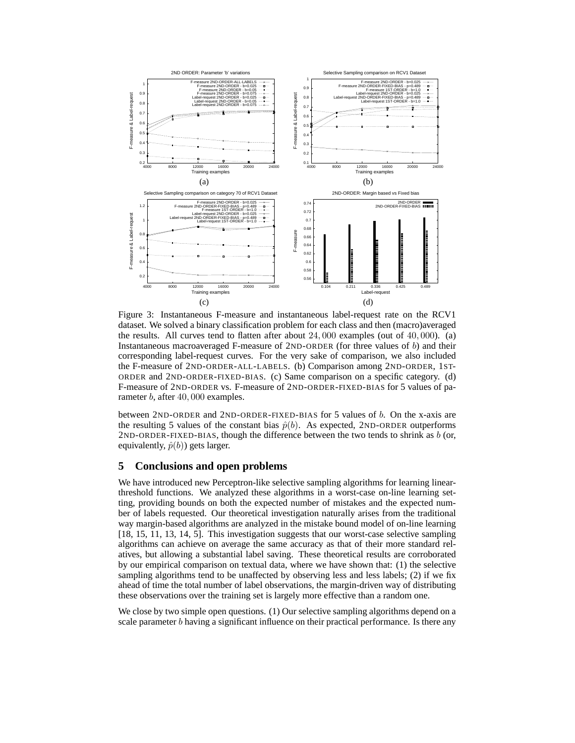

Figure 3: Instantaneous F-measure and instantaneous label-request rate on the RCV1 dataset. We solved a binary classification problem for each class and then (macro)averaged the results. All curves tend to flatten after about 24, 000 examples (out of 40, 000). (a) Instantaneous macroaveraged F-measure of  $2ND-ORDER$  (for three values of b) and their corresponding label-request curves. For the very sake of comparison, we also included the F-measure of 2ND-ORDER-ALL-LABELS. (b) Comparison among 2ND-ORDER, 1ST-ORDER and 2ND-ORDER-FIXED-BIAS. (c) Same comparison on a specific category. (d) F-measure of 2ND-ORDER vs. F-measure of 2ND-ORDER-FIXED-BIAS for 5 values of parameter b, after 40,000 examples.

between 2ND-ORDER and 2ND-ORDER-FIXED-BIAS for 5 values of b. On the x-axis are the resulting 5 values of the constant bias  $\hat{p}(b)$ . As expected, 2ND-ORDER outperforms 2ND-ORDER-FIXED-BIAS, though the difference between the two tends to shrink as  $b$  (or, equivalently,  $\hat{p}(b)$ ) gets larger.

## **5 Conclusions and open problems**

We have introduced new Perceptron-like selective sampling algorithms for learning linearthreshold functions. We analyzed these algorithms in a worst-case on-line learning setting, providing bounds on both the expected number of mistakes and the expected number of labels requested. Our theoretical investigation naturally arises from the traditional way margin-based algorithms are analyzed in the mistake bound model of on-line learning [18, 15, 11, 13, 14, 5]. This investigation suggests that our worst-case selective sampling algorithms can achieve on average the same accuracy as that of their more standard relatives, but allowing a substantial label saving. These theoretical results are corroborated by our empirical comparison on textual data, where we have shown that: (1) the selective sampling algorithms tend to be unaffected by observing less and less labels; (2) if we fix ahead of time the total number of label observations, the margin-driven way of distributing these observations over the training set is largely more effective than a random one.

We close by two simple open questions. (1) Our selective sampling algorithms depend on a scale parameter  $b$  having a significant influence on their practical performance. Is there any